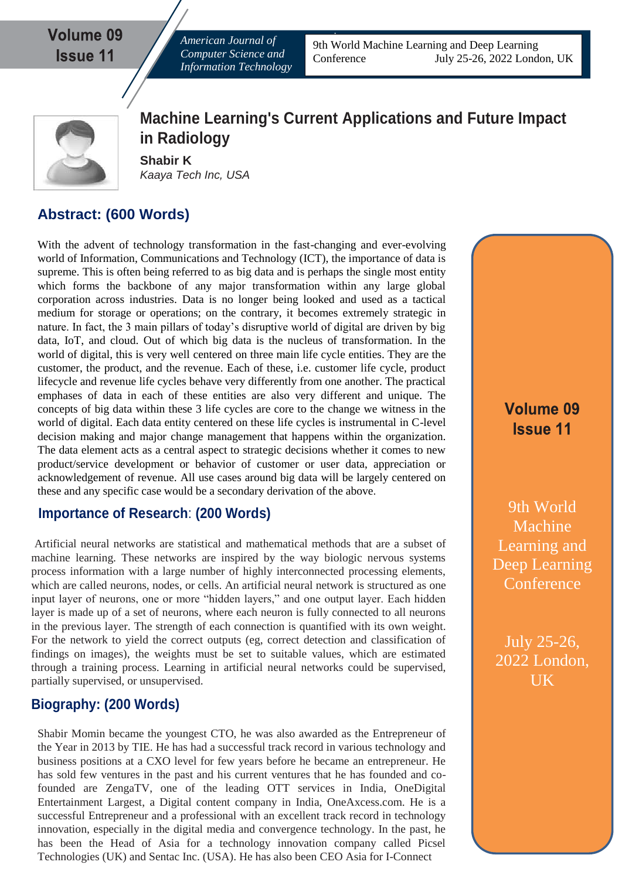Volume 09 **Issue 11** 

*American Journal of Computer Science and Information Technology*

9th World Machine Learning and Deep Learning Conference July 25-26, 2022 London, UK



**Machine Learning's Current Applications and Future Impact in Radiology**

**Shabir K** *Kaaya Tech Inc, USA*

## **Abstract: (600 Words)**

With the advent of technology transformation in the fast-changing and ever-evolving world of Information, Communications and Technology (ICT), the importance of data is supreme. This is often being referred to as big data and is perhaps the single most entity which forms the backbone of any major transformation within any large global corporation across industries. Data is no longer being looked and used as a tactical medium for storage or operations; on the contrary, it becomes extremely strategic in nature. In fact, the 3 main pillars of today's disruptive world of digital are driven by big data, IoT, and cloud. Out of which big data is the nucleus of transformation. In the world of digital, this is very well centered on three main life cycle entities. They are the customer, the product, and the revenue. Each of these, i.e. customer life cycle, product lifecycle and revenue life cycles behave very differently from one another. The practical emphases of data in each of these entities are also very different and unique. The concepts of big data within these 3 life cycles are core to the change we witness in the world of digital. Each data entity centered on these life cycles is instrumental in C-level decision making and major change management that happens within the organization. The data element acts as a central aspect to strategic decisions whether it comes to new product/service development or behavior of customer or user data, appreciation or acknowledgement of revenue. All use cases around big data will be largely centered on these and any specific case would be a secondary derivation of the above.

## **Importance of Research**: **(200 Words)**

Artificial neural networks are statistical and mathematical methods that are a subset of machine learning. These networks are inspired by the way biologic nervous systems process information with a large number of highly interconnected processing elements, which are called neurons, nodes, or cells. An artificial neural network is structured as one input layer of neurons, one or more "hidden layers," and one output layer. Each hidden layer is made up of a set of neurons, where each neuron is fully connected to all neurons in the previous layer. The strength of each connection is quantified with its own weight. For the network to yield the correct outputs (eg, correct detection and classification of findings on images), the weights must be set to suitable values, which are estimated through a training process. Learning in artificial neural networks could be supervised, partially supervised, or unsupervised.

## **Biography: (200 Words)**

Shabir Momin became the youngest CTO, he was also awarded as the Entrepreneur of the Year in 2013 by TIE. He has had a successful track record in various technology and business positions at a CXO level for few years before he became an entrepreneur. He has sold few ventures in the past and his current ventures that he has founded and cofounded are ZengaTV, one of the leading OTT services in India, OneDigital Entertainment Largest, a Digital content company in India, OneAxcess.com. He is a successful Entrepreneur and a professional with an excellent track record in technology innovation, especially in the digital media and convergence technology. In the past, he has been the Head of Asia for a technology innovation company called Picsel Technologies (UK) and Sentac Inc. (USA). He has also been CEO Asia for I-Connect

Volume 09 **Issue 11** 

9th World Machine Learning and Deep Learning **Conference** 

July 25-26, 2022 London, UK